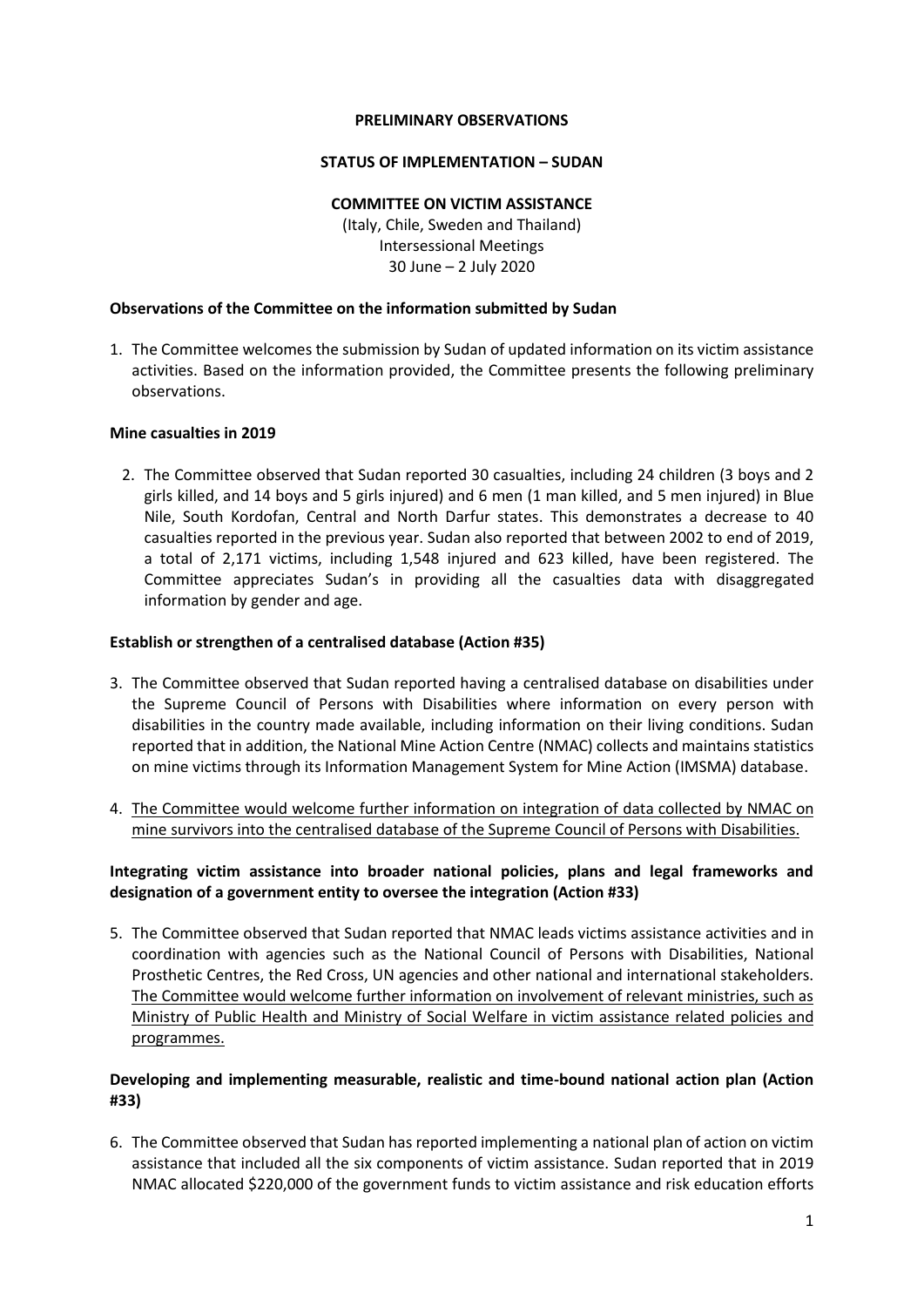### **PRELIMINARY OBSERVATIONS**

### **STATUS OF IMPLEMENTATION – SUDAN**

### **COMMITTEE ON VICTIM ASSISTANCE**

(Italy, Chile, Sweden and Thailand) Intersessional Meetings 30 June – 2 July 2020

### **Observations of the Committee on the information submitted by Sudan**

1. The Committee welcomes the submission by Sudan of updated information on its victim assistance activities. Based on the information provided, the Committee presents the following preliminary observations.

### **Mine casualties in 2019**

2. The Committee observed that Sudan reported 30 casualties, including 24 children (3 boys and 2 girls killed, and 14 boys and 5 girls injured) and 6 men (1 man killed, and 5 men injured) in Blue Nile, South Kordofan, Central and North Darfur states. This demonstrates a decrease to 40 casualties reported in the previous year. Sudan also reported that between 2002 to end of 2019, a total of 2,171 victims, including 1,548 injured and 623 killed, have been registered. The Committee appreciates Sudan's in providing all the casualties data with disaggregated information by gender and age.

### **Establish or strengthen of a centralised database (Action #35)**

- 3. The Committee observed that Sudan reported having a centralised database on disabilities under the Supreme Council of Persons with Disabilities where information on every person with disabilities in the country made available, including information on their living conditions. Sudan reported that in addition, the National Mine Action Centre (NMAC) collects and maintains statistics on mine victims through its Information Management System for Mine Action (IMSMA) database.
- 4. The Committee would welcome further information on integration of data collected by NMAC on mine survivors into the centralised database of the Supreme Council of Persons with Disabilities.

# **Integrating victim assistance into broader national policies, plans and legal frameworks and designation of a government entity to oversee the integration (Action #33)**

5. The Committee observed that Sudan reported that NMAC leads victims assistance activities and in coordination with agencies such as the National Council of Persons with Disabilities, National Prosthetic Centres, the Red Cross, UN agencies and other national and international stakeholders. The Committee would welcome further information on involvement of relevant ministries, such as Ministry of Public Health and Ministry of Social Welfare in victim assistance related policies and programmes.

# **Developing and implementing measurable, realistic and time-bound national action plan (Action #33)**

6. The Committee observed that Sudan has reported implementing a national plan of action on victim assistance that included all the six components of victim assistance. Sudan reported that in 2019 NMAC allocated \$220,000 of the government funds to victim assistance and risk education efforts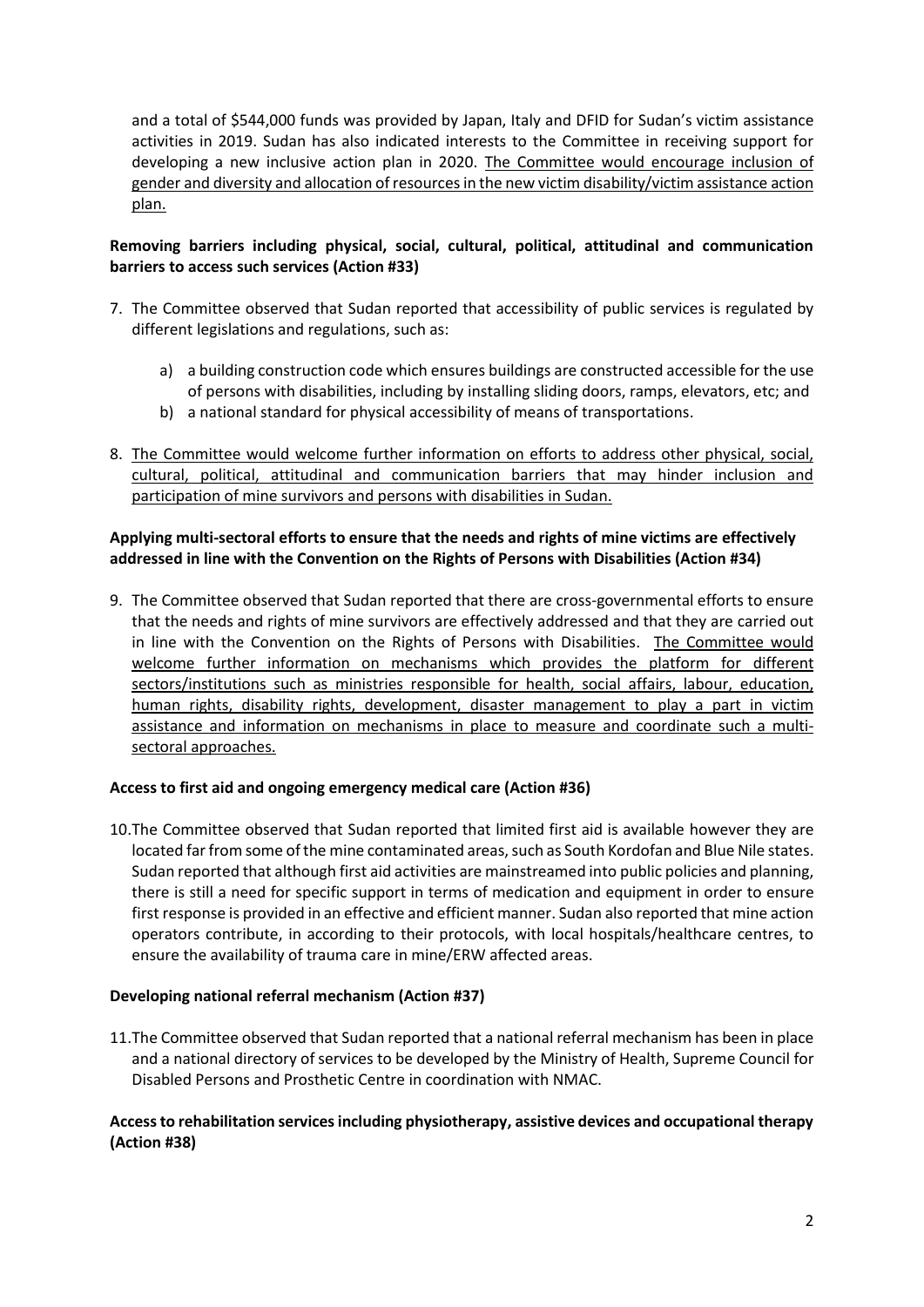and a total of \$544,000 funds was provided by Japan, Italy and DFID for Sudan's victim assistance activities in 2019. Sudan has also indicated interests to the Committee in receiving support for developing a new inclusive action plan in 2020. The Committee would encourage inclusion of gender and diversity and allocation of resourcesin the new victim disability/victim assistance action plan.

# **Removing barriers including physical, social, cultural, political, attitudinal and communication barriers to access such services (Action #33)**

- 7. The Committee observed that Sudan reported that accessibility of public services is regulated by different legislations and regulations, such as:
	- a) a building construction code which ensures buildings are constructed accessible for the use of persons with disabilities, including by installing sliding doors, ramps, elevators, etc; and
	- b) a national standard for physical accessibility of means of transportations.
- 8. The Committee would welcome further information on efforts to address other physical, social, cultural, political, attitudinal and communication barriers that may hinder inclusion and participation of mine survivors and persons with disabilities in Sudan.

# **Applying multi-sectoral efforts to ensure that the needs and rights of mine victims are effectively addressed in line with the Convention on the Rights of Persons with Disabilities (Action #34)**

9. The Committee observed that Sudan reported that there are cross-governmental efforts to ensure that the needs and rights of mine survivors are effectively addressed and that they are carried out in line with the Convention on the Rights of Persons with Disabilities. The Committee would welcome further information on mechanisms which provides the platform for different sectors/institutions such as ministries responsible for health, social affairs, labour, education, human rights, disability rights, development, disaster management to play a part in victim assistance and information on mechanisms in place to measure and coordinate such a multisectoral approaches.

## **Access to first aid and ongoing emergency medical care (Action #36)**

10.The Committee observed that Sudan reported that limited first aid is available however they are located far from some of the mine contaminated areas, such as South Kordofan and Blue Nile states. Sudan reported that although first aid activities are mainstreamed into public policies and planning, there is still a need for specific support in terms of medication and equipment in order to ensure first response is provided in an effective and efficient manner. Sudan also reported that mine action operators contribute, in according to their protocols, with local hospitals/healthcare centres, to ensure the availability of trauma care in mine/ERW affected areas.

## **Developing national referral mechanism (Action #37)**

11.The Committee observed that Sudan reported that a national referral mechanism has been in place and a national directory of services to be developed by the Ministry of Health, Supreme Council for Disabled Persons and Prosthetic Centre in coordination with NMAC.

# **Access to rehabilitation services including physiotherapy, assistive devices and occupational therapy (Action #38)**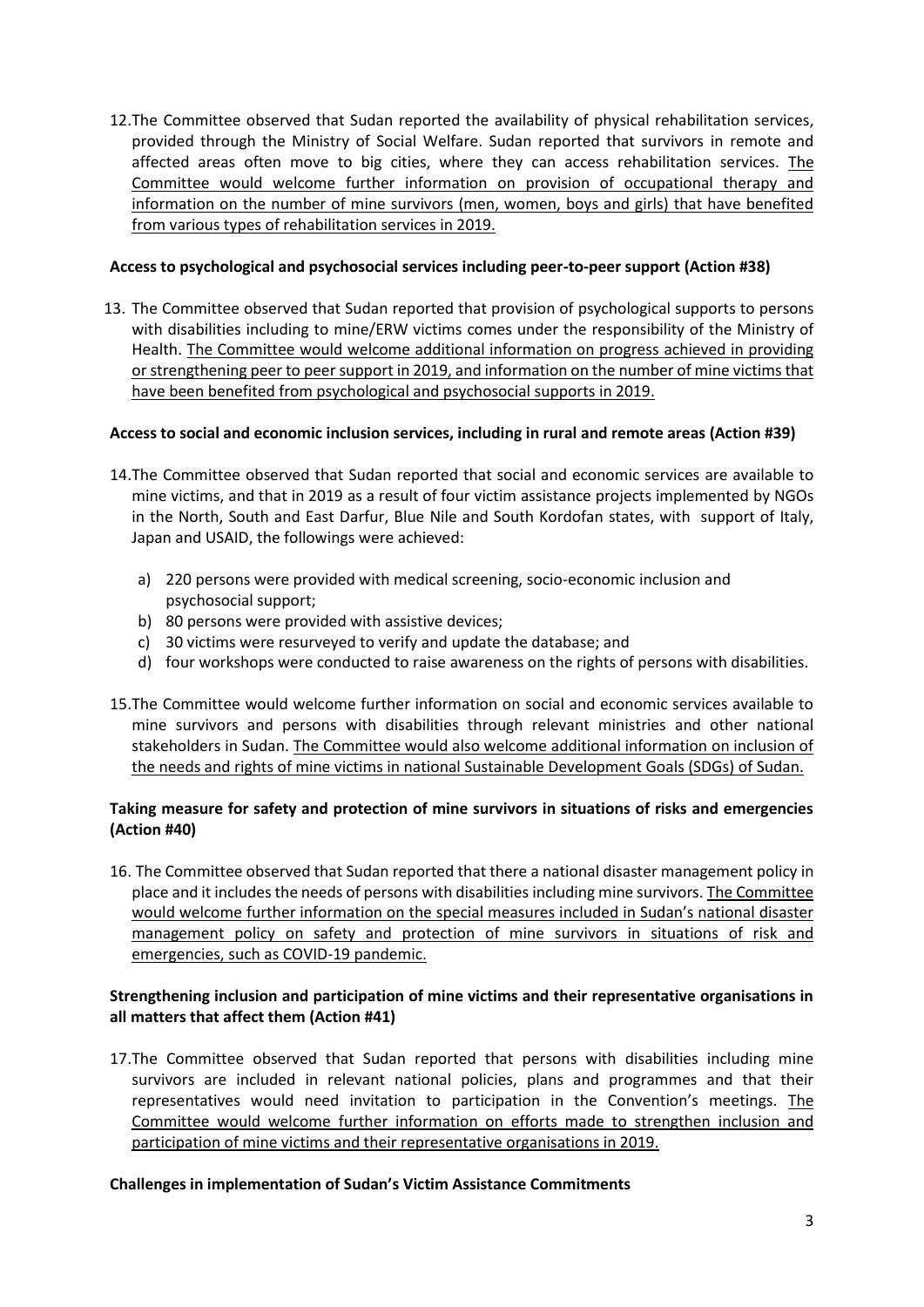12.The Committee observed that Sudan reported the availability of physical rehabilitation services, provided through the Ministry of Social Welfare. Sudan reported that survivors in remote and affected areas often move to big cities, where they can access rehabilitation services. The Committee would welcome further information on provision of occupational therapy and information on the number of mine survivors (men, women, boys and girls) that have benefited from various types of rehabilitation services in 2019.

## **Access to psychological and psychosocial services including peer-to-peer support (Action #38)**

13. The Committee observed that Sudan reported that provision of psychological supports to persons with disabilities including to mine/ERW victims comes under the responsibility of the Ministry of Health. The Committee would welcome additional information on progress achieved in providing or strengthening peer to peer support in 2019, and information on the number of mine victims that have been benefited from psychological and psychosocial supports in 2019.

# **Access to social and economic inclusion services, including in rural and remote areas (Action #39)**

- 14.The Committee observed that Sudan reported that social and economic services are available to mine victims, and that in 2019 as a result of four victim assistance projects implemented by NGOs in the North, South and East Darfur, Blue Nile and South Kordofan states, with support of Italy, Japan and USAID, the followings were achieved:
	- a) 220 persons were provided with medical screening, socio-economic inclusion and psychosocial support;
	- b) 80 persons were provided with assistive devices;
	- c) 30 victims were resurveyed to verify and update the database; and
	- d) four workshops were conducted to raise awareness on the rights of persons with disabilities.
- 15.The Committee would welcome further information on social and economic services available to mine survivors and persons with disabilities through relevant ministries and other national stakeholders in Sudan. The Committee would also welcome additional information on inclusion of the needs and rights of mine victims in national Sustainable Development Goals (SDGs) of Sudan.

# **Taking measure for safety and protection of mine survivors in situations of risks and emergencies (Action #40)**

16. The Committee observed that Sudan reported that there a national disaster management policy in place and it includes the needs of persons with disabilities including mine survivors. The Committee would welcome further information on the special measures included in Sudan's national disaster management policy on safety and protection of mine survivors in situations of risk and emergencies, such as COVID-19 pandemic.

# **Strengthening inclusion and participation of mine victims and their representative organisations in all matters that affect them (Action #41)**

17.The Committee observed that Sudan reported that persons with disabilities including mine survivors are included in relevant national policies, plans and programmes and that their representatives would need invitation to participation in the Convention's meetings. The Committee would welcome further information on efforts made to strengthen inclusion and participation of mine victims and their representative organisations in 2019.

## **Challenges in implementation of Sudan's Victim Assistance Commitments**